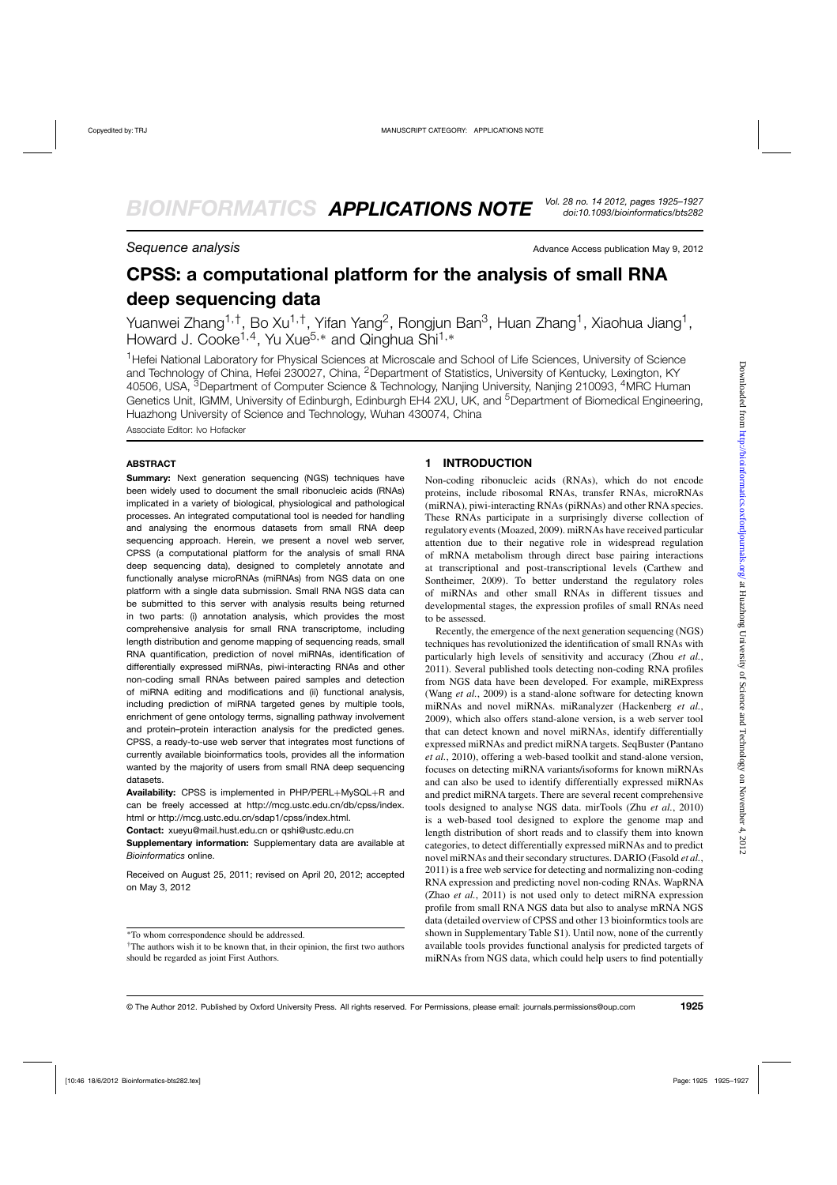**Sequence analysis** Advance Access publication May 9, 2012

# **CPSS: a computational platform for the analysis of small RNA deep sequencing data**

Yuanwei Zhang<sup>1,†</sup>, Bo Xu<sup>1,†</sup>, Yifan Yang<sup>2</sup>, Rongjun Ban<sup>3</sup>, Huan Zhang<sup>1</sup>, Xiaohua Jiang<sup>1</sup>, Howard J. Cooke<sup>1,4</sup>, Yu Xue<sup>5,\*</sup> and Qinghua Shi<sup>1,\*</sup>

<sup>1</sup>Hefei National Laboratory for Physical Sciences at Microscale and School of Life Sciences, University of Science and Technology of China, Hefei 230027, China, 2Department of Statistics, University of Kentucky, Lexington, KY 40506, USA, <sup>3</sup>Department of Computer Science & Technology, Nanjing University, Nanjing 210093, <sup>4</sup>MRC Human Genetics Unit, IGMM, University of Edinburgh, Edinburgh EH4 2XU, UK, and <sup>5</sup>Department of Biomedical Engineering, Huazhong University of Science and Technology, Wuhan 430074, China

Associate Editor: Ivo Hofacker

#### **ABSTRACT**

**Summary:** Next generation sequencing (NGS) techniques have been widely used to document the small ribonucleic acids (RNAs) implicated in a variety of biological, physiological and pathological processes. An integrated computational tool is needed for handling and analysing the enormous datasets from small RNA deep sequencing approach. Herein, we present a novel web server, CPSS (a computational platform for the analysis of small RNA deep sequencing data), designed to completely annotate and functionally analyse microRNAs (miRNAs) from NGS data on one platform with a single data submission. Small RNA NGS data can be submitted to this server with analysis results being returned in two parts: (i) annotation analysis, which provides the most comprehensive analysis for small RNA transcriptome, including length distribution and genome mapping of sequencing reads, small RNA quantification, prediction of novel miRNAs, identification of differentially expressed miRNAs, piwi-interacting RNAs and other non-coding small RNAs between paired samples and detection of miRNA editing and modifications and (ii) functional analysis, including prediction of miRNA targeted genes by multiple tools, enrichment of gene ontology terms, signalling pathway involvement and protein–protein interaction analysis for the predicted genes. CPSS, a ready-to-use web server that integrates most functions of currently available bioinformatics tools, provides all the information wanted by the majority of users from small RNA deep sequencing datasets.

**Availability:** CPSS is implemented in PHP/PERL+MySQL+R and can be freely accessed at http://mcg.ustc.edu.cn/db/cpss/index. html or http://mcg.ustc.edu.cn/sdap1/cpss/index.html.

**Contact:** xueyu@mail.hust.edu.cn or qshi@ustc.edu.cn

**Supplementary information:** Supplementary data are available at *Bioinformatics* online.

Received on August 25, 2011; revised on April 20, 2012; accepted on May 3, 2012

### **1 INTRODUCTION**

Non-coding ribonucleic acids (RNAs), which do not encode proteins, include ribosomal RNAs, transfer RNAs, microRNAs (miRNA), piwi-interacting RNAs (piRNAs) and other RNA species. These RNAs participate in a surprisingly diverse collection of regulatory events (Moazed, 2009). miRNAs have received particular attention due to their negative role in widespread regulation of mRNA metabolism through direct base pairing interactions at transcriptional and post-transcriptional levels (Carthew and Sontheimer, 2009). To better understand the regulatory roles of miRNAs and other small RNAs in different tissues and developmental stages, the expression profiles of small RNAs need to be assessed.

Recently, the emergence of the next generation sequencing (NGS) techniques has revolutionized the identification of small RNAs with particularly high levels of sensitivity and accuracy (Zhou *et al.*, 2011). Several published tools detecting non-coding RNA profiles from NGS data have been developed. For example, miRExpress (Wang *et al.*, 2009) is a stand-alone software for detecting known miRNAs and novel miRNAs. miRanalyzer (Hackenberg *et al.*, 2009), which also offers stand-alone version, is a web server tool that can detect known and novel miRNAs, identify differentially expressed miRNAs and predict miRNA targets. SeqBuster (Pantano *et al.*, 2010), offering a web-based toolkit and stand-alone version, focuses on detecting miRNA variants/isoforms for known miRNAs and can also be used to identify differentially expressed miRNAs and predict miRNA targets. There are several recent comprehensive tools designed to analyse NGS data. mirTools (Zhu *et al.*, 2010) is a web-based tool designed to explore the genome map and length distribution of short reads and to classify them into known categories, to detect differentially expressed miRNAs and to predict novel miRNAs and their secondary structures. DARIO (Fasold *et al.*, 2011) is a free web service for detecting and normalizing non-coding RNA expression and predicting novel non-coding RNAs. WapRNA (Zhao *et al.*, 2011) is not used only to detect miRNA expression profile from small RNA NGS data but also to analyse mRNA NGS data (detailed overview of CPSS and other 13 bioinformtics tools are shown in Supplementary Table S1). Until now, none of the currently available tools provides functional analysis for predicted targets of miRNAs from NGS data, which could help users to find potentially

<sup>∗</sup>To whom correspondence should be addressed.

<sup>†</sup>The authors wish it to be known that, in their opinion, the first two authors should be regarded as joint First Authors.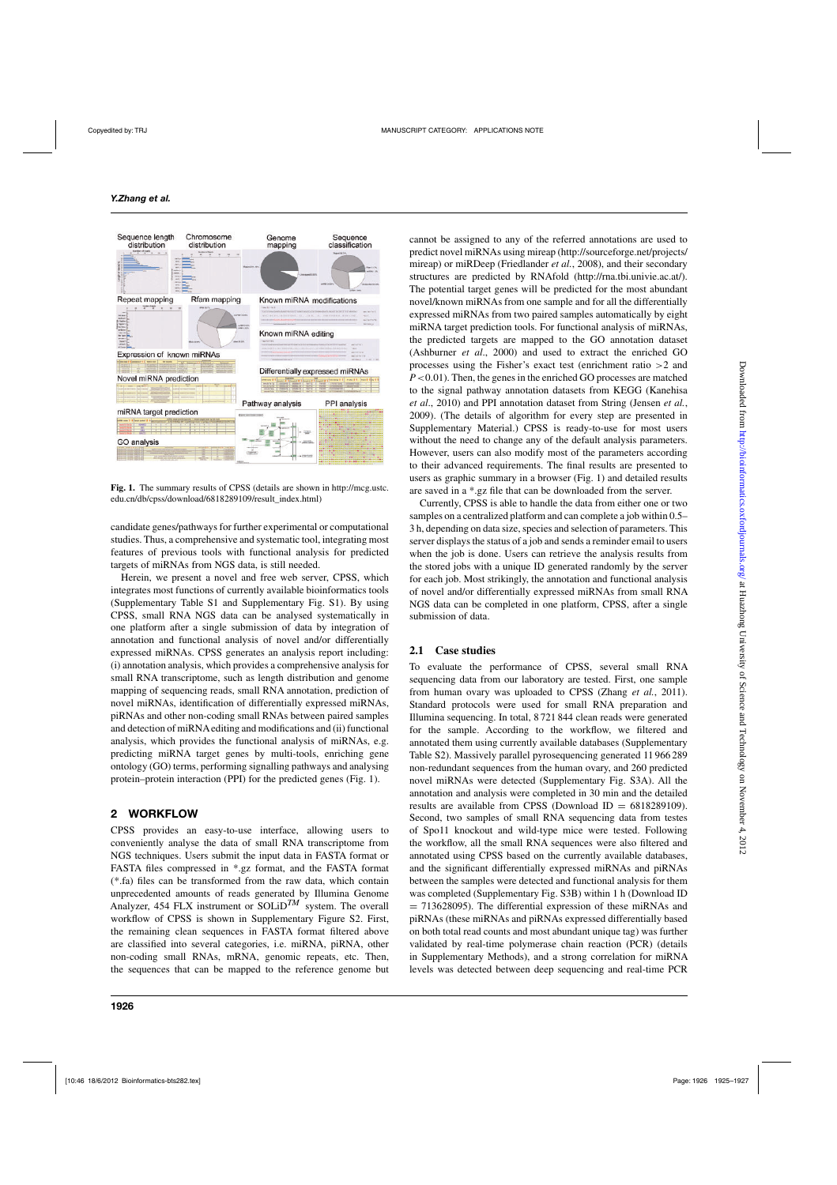

**Fig. 1.** The summary results of CPSS (details are shown in http://mcg.ustc. edu.cn/db/cpss/download/6818289109/result\_index.html)

candidate genes/pathways for further experimental or computational studies. Thus, a comprehensive and systematic tool, integrating most features of previous tools with functional analysis for predicted targets of miRNAs from NGS data, is still needed.

Herein, we present a novel and free web server, CPSS, which integrates most functions of currently available bioinformatics tools (Supplementary Table S1 and Supplementary Fig. S1). By using CPSS, small RNA NGS data can be analysed systematically in one platform after a single submission of data by integration of annotation and functional analysis of novel and/or differentially expressed miRNAs. CPSS generates an analysis report including: (i) annotation analysis, which provides a comprehensive analysis for small RNA transcriptome, such as length distribution and genome mapping of sequencing reads, small RNA annotation, prediction of novel miRNAs, identification of differentially expressed miRNAs, piRNAs and other non-coding small RNAs between paired samples and detection of miRNAediting and modifications and (ii) functional analysis, which provides the functional analysis of miRNAs, e.g. predicting miRNA target genes by multi-tools, enriching gene ontology (GO) terms, performing signalling pathways and analysing protein–protein interaction (PPI) for the predicted genes (Fig. 1).

# **2 WORKFLOW**

CPSS provides an easy-to-use interface, allowing users to conveniently analyse the data of small RNA transcriptome from NGS techniques. Users submit the input data in FASTA format or FASTA files compressed in \*.gz format, and the FASTA format (\*.fa) files can be transformed from the raw data, which contain unprecedented amounts of reads generated by Illumina Genome Analyzer, 454 FLX instrument or SOLiD<sup>TM</sup> system. The overall workflow of CPSS is shown in Supplementary Figure S2. First, the remaining clean sequences in FASTA format filtered above are classified into several categories, i.e. miRNA, piRNA, other non-coding small RNAs, mRNA, genomic repeats, etc. Then, the sequences that can be mapped to the reference genome but cannot be assigned to any of the referred annotations are used to predict novel miRNAs using mireap (http://sourceforge.net/projects/ mireap) or miRDeep (Friedlander *et al.*, 2008), and their secondary structures are predicted by RNAfold (http://rna.tbi.univie.ac.at/). The potential target genes will be predicted for the most abundant novel/known miRNAs from one sample and for all the differentially expressed miRNAs from two paired samples automatically by eight miRNA target prediction tools. For functional analysis of miRNAs, the predicted targets are mapped to the GO annotation dataset (Ashburner *et al*., 2000) and used to extract the enriched GO processes using the Fisher's exact test (enrichment ratio >2 and *P*<0.01). Then, the genes in the enriched GO processes are matched to the signal pathway annotation datasets from KEGG (Kanehisa *et al*., 2010) and PPI annotation dataset from String (Jensen *et al.*, 2009). (The details of algorithm for every step are presented in Supplementary Material.) CPSS is ready-to-use for most users without the need to change any of the default analysis parameters. However, users can also modify most of the parameters according to their advanced requirements. The final results are presented to users as graphic summary in a browser (Fig. 1) and detailed results are saved in a \*.gz file that can be downloaded from the server.

Currently, CPSS is able to handle the data from either one or two samples on a centralized platform and can complete a job within 0.5– 3 h, depending on data size, species and selection of parameters. This server displays the status of a job and sends a reminder email to users when the job is done. Users can retrieve the analysis results from the stored jobs with a unique ID generated randomly by the server for each job. Most strikingly, the annotation and functional analysis of novel and/or differentially expressed miRNAs from small RNA NGS data can be completed in one platform, CPSS, after a single submission of data.

# **2.1 Case studies**

To evaluate the performance of CPSS, several small RNA sequencing data from our laboratory are tested. First, one sample from human ovary was uploaded to CPSS (Zhang *et al.*, 2011). Standard protocols were used for small RNA preparation and Illumina sequencing. In total, 8 721 844 clean reads were generated for the sample. According to the workflow, we filtered and annotated them using currently available databases (Supplementary Table S2). Massively parallel pyrosequencing generated 11 966 289 non-redundant sequences from the human ovary, and 260 predicted novel miRNAs were detected (Supplementary Fig. S3A). All the annotation and analysis were completed in 30 min and the detailed results are available from CPSS (Download ID =  $6818289109$ ). Second, two samples of small RNA sequencing data from testes of Spo11 knockout and wild-type mice were tested. Following the workflow, all the small RNA sequences were also filtered and annotated using CPSS based on the currently available databases, and the significant differentially expressed miRNAs and piRNAs between the samples were detected and functional analysis for them was completed (Supplementary Fig. S3B) within 1 h (Download ID  $= 713628095$ . The differential expression of these miRNAs and piRNAs (these miRNAs and piRNAs expressed differentially based on both total read counts and most abundant unique tag) was further validated by real-time polymerase chain reaction (PCR) (details in Supplementary Methods), and a strong correlation for miRNA levels was detected between deep sequencing and real-time PCR